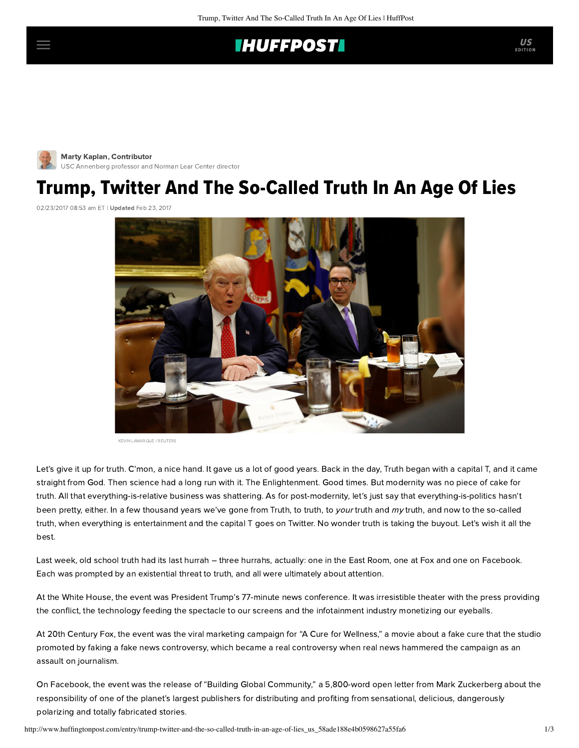## **IHUFFPOSTI**

[M](http://www.huffingtonpost.com/author/marty-kaplan)arty Kaplan, Contributor [USC Annenberg professor and Norman Lear Center director](http://www.huffingtonpost.com/author/marty-kaplan)

## Trump, Twitter And The So-Called Truth In An Age Of Lies

02/23/2017 08:53 am ET | Updated Feb 23, 2017



KEVIN LAMARQUE / REUTERS

Let's give it up for truth. C'mon, a nice hand. It gave us a lot of good years. Back in the day, Truth began with a capital T, and it came straight from God. Then science had a long run with it. The Enlightenment. Good times. But modernity was no piece of cake for truth. All that everything-is-relative business was shattering. As for post-modernity, let's just say that everything-is-politics hasn't been pretty, either. In a few thousand years we've gone from Truth, to truth, to your truth and my truth, and now to the so-called truth, when everything is entertainment and the capital T goes on Twitter. No wonder truth is taking the buyout. Let's wish it all the best.

Last week, old school truth had its last hurrah – three hurrahs, actually: one in the East Room, one at Fox and one on Facebook. Each was prompted by an existential threat to truth, and all were ultimately about attention.

At the White House, the event was President Trump's 77-minute [news conference](https://www.whitehouse.gov/the-press-office/2017/02/16/remarks-president-trump-press-conference). It was irresistible theater with the press providing the conflict, the technology feeding the spectacle to our screens and the infotainment industry monetizing our eyeballs.

At 20th Century Fox, the event was the viral marketing campaign for "A Cure for Wellness," a movie about a fake cure that the studio promoted by faking a fake news controversy, which became a real controversy when real news hammered the campaign as an assault on journalism.

On Facebook, the event was the release of ["Building Global Community](https://www.facebook.com/notes/mark-zuckerberg/building-global-community/10103508221158471/)," a 5,800-word open letter from Mark Zuckerberg about the responsibility of one of the planet's largest publishers for distributing and profiting from sensational, delicious, dangerously polarizing and totally fabricated stories.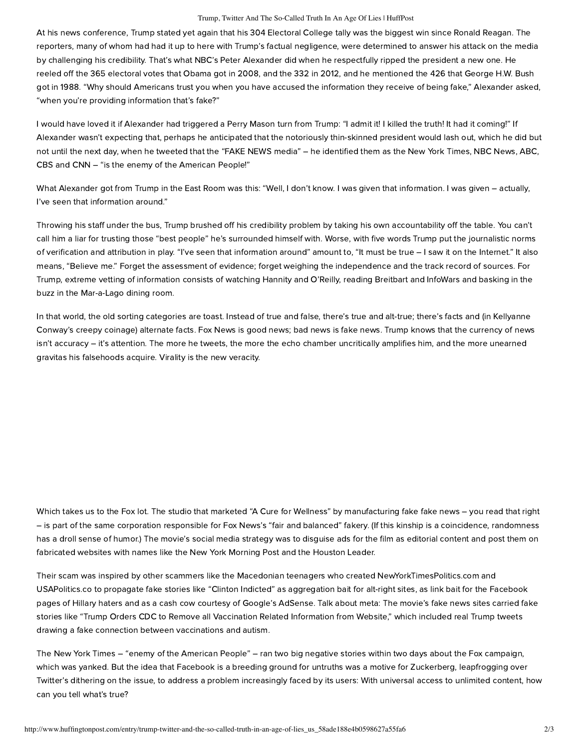## Trump, Twitter And The So-Called Truth In An Age Of Lies | HuffPost

At his news conference, Trump stated yet again that his 304 Electoral College tally was the biggest win since Ronald Reagan. The reporters, many of whom had had it up to here with Trump's factual negligence, were determined to answer his attack on the media by challenging his credibility. That's what NBC's Peter Alexander did when he respectfully ripped the president a new one. He reeled off the 365 electoral votes that Obama got in 2008, and the 332 in 2012, and he mentioned the 426 that George H.W. Bush got in 1988. "Why should Americans trust you when you have accused the information they receive of being fake," Alexander asked, "when you're providing information that's fake?"

I would have loved it if Alexander had triggered a Perry Mason turn from Trump: "I admit it! I killed the truth! It had it coming!" If Alexander wasn't expecting that, perhaps he anticipated that the notoriously thin-skinned president would lash out, which he did but not until the next day, when he [tweeted](http://thehill.com/homenews/administration/320168-trump-the-media-is-the-enemy-of-the-american-people) that the "FAKE NEWS media" – he identified them as the New York Times, NBC News, ABC, CBS and CNN – "is the enemy of the American People!"

What Alexander got from Trump in the East Room was this: "Well, I don't know. I was given that information. I was given – actually, I've seen that information around."

Throwing his staff under the bus, Trump brushed off his credibility problem by taking his own accountability off the table. You can't call him a liar for trusting those "best people" he's surrounded himself with. Worse, with five words Trump put the journalistic norms of verification and attribution in play. "I've seen that information around" amount to, "It must be true – I saw it on the Internet." It also means, "Believe me." Forget the assessment of evidence; forget weighing the independence and the track record of sources. For Trump, extreme vetting of information consists of watching Hannity and O'Reilly, reading Breitbart and InfoWars and basking in the buzz in the Mar-a-Lago dining room.

In that world, the old sorting categories are toast. Instead of true and false, there's true and alt-true; there's facts and (in Kellyanne Conway's creepy coinage) alternate facts. Fox News is good news; bad news is fake news. Trump knows that the currency of news isn't accuracy – it's attention. The more he tweets, the more the echo chamber uncritically amplifies him, and the more unearned gravitas his falsehoods acquire. Virality is the new veracity.

Which takes us to the Fox lot. The studio that marketed "A Cure for Wellness" by manufacturing fake fake news - you read that right – is part of the same corporation responsible for Fox News's "fair and balanced" fakery. (If this kinship is a coincidence, randomness has a droll sense of humor.) The movie's social media strategy was to disguise ads for the film as editorial content and post them on fabricated websites with names like the New York Morning Post and the Houston Leader.

Their scam was inspired by other scammers like the [Macedonian teenagers](https://www.wired.com/2017/02/veles-macedonia-fake-news/) who created NewYorkTimesPolitics.com and USAPolitics.co to propagate fake stories like "Clinton Indicted" as aggregation bait for alt-right sites, as link bait for the Facebook pages of Hillary haters and as a cash cow courtesy of Google's AdSense. Talk about meta: The movie's fake news sites carried fake stories like "Trump Orders CDC to Remove all Vaccination Related Information from Website," which included real Trump tweets drawing a fake connection between vaccinations and autism.

The New York Times – "enemy of the American People" – ran [two](https://www.nytimes.com/2017/02/16/business/20th-century-fox-fake-news-ad-campaign.html?_r=0) big negative [stories](https://www.nytimes.com/2017/02/15/arts/fake-news-a-cure-for-wellness-movie.html) within two days about the Fox campaign, which was yanked. But the idea that Facebook is a breeding ground for untruths was a motive for Zuckerberg, leapfrogging over Twitter's dithering on the issue, to address a problem increasingly faced by its users: With universal access to unlimited content, how can you tell what's true?